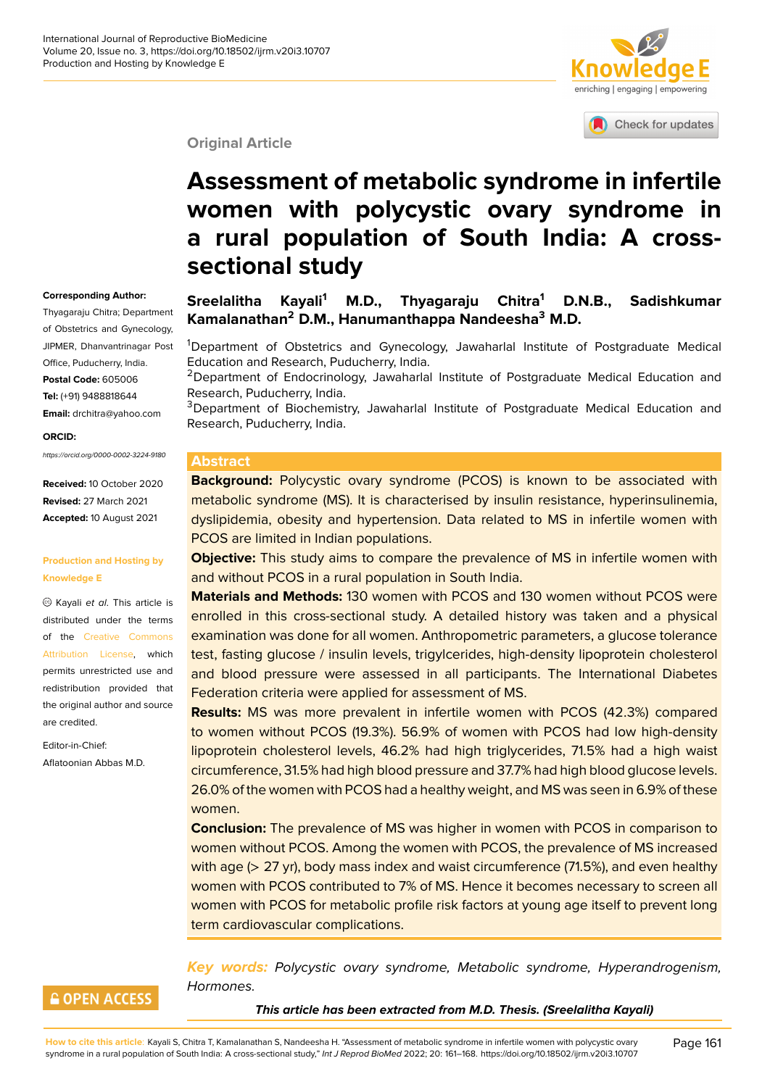

Check for updates

#### **Original Article**

# **Assessment of metabolic syndro[me in infertile](http://crossmark.crossref.org/dialog/?doi=10.18502/ijrm.v20i3.10707&domain=pdf&date_stamp=2018-01-27) women with polycystic ovary syndrome in a rural population of South India: A crosssectional study**

#### **Corresponding Author:**

Thyagaraju Chitra; Department of Obstetrics and Gynecology, JIPMER, Dhanvantrinagar Post Office, Puducherry, India. **Postal Code:** 605006 **Tel:** (+91) 9488818644 **Email:** drchitra@yahoo.com

**ORCID:**

*https://orcid.org/0000-0002-3224-9180*

**Received:** 10 October 2020 **Revised:** 27 March 2021 **Accepted:** 10 August 2021

#### **Production and Hosting by Knowledge E**

Kayali *et al*. This article is distributed under the terms of the Creative Commons Attribution License, which permits unrestricted use and redistribution provided that the origi[nal author and source](https://creativecommons.org/licenses/by/4.0/) [are credited.](https://creativecommons.org/licenses/by/4.0/)

Editor-in-Chief: Aflatoonian Abbas M.D.

#### **Sreelalitha Kayali<sup>1</sup> M.D., Thyagaraju Chitra<sup>1</sup> D.N.B., Sadishkumar Kamalanathan<sup>2</sup> D.M., Hanumanthappa Nandeesha<sup>3</sup> M.D.**

<sup>1</sup>Department of Obstetrics and Gynecology, Jawaharlal Institute of Postgraduate Medical Education and Research, Puducherry, India.

<sup>2</sup>Department of Endocrinology, Jawaharlal Institute of Postgraduate Medical Education and Research, Puducherry, India.

<sup>3</sup>Department of Biochemistry, Jawaharlal Institute of Postgraduate Medical Education and Research, Puducherry, India.

#### **Abstract**

**Background:** Polycystic ovary syndrome (PCOS) is known to be associated with metabolic syndrome (MS). It is characterised by insulin resistance, hyperinsulinemia, dyslipidemia, obesity and hypertension. Data related to MS in infertile women with PCOS are limited in Indian populations.

**Objective:** This study aims to compare the prevalence of MS in infertile women with and without PCOS in a rural population in South India.

**Materials and Methods:** 130 women with PCOS and 130 women without PCOS were enrolled in this cross-sectional study. A detailed history was taken and a physical examination was done for all women. Anthropometric parameters, a glucose tolerance test, fasting glucose / insulin levels, trigylcerides, high-density lipoprotein cholesterol and blood pressure were assessed in all participants. The International Diabetes Federation criteria were applied for assessment of MS.

**Results:** MS was more prevalent in infertile women with PCOS (42.3%) compared to women without PCOS (19.3%). 56.9% of women with PCOS had low high-density lipoprotein cholesterol levels, 46.2% had high triglycerides, 71.5% had a high waist circumference, 31.5% had high blood pressure and 37.7% had high blood glucose levels. 26.0% of the women with PCOS had a healthy weight, and MS was seen in 6.9% of these women.

**Conclusion:** The prevalence of MS was higher in women with PCOS in comparison to women without PCOS. Among the women with PCOS, the prevalence of MS increased with age (> 27 yr), body mass index and waist circumference (71.5%), and even healthy women with PCOS contributed to 7% of MS. Hence it becomes necessary to screen all women with PCOS for metabolic profile risk factors at young age itself to prevent long term cardiovascular complications.

#### **GOPEN ACCESS**

*Key words: Polycystic ovary syndrome, Metabolic syndrome, Hyperandrogenism, Hormones.*

*This article has been extracted from M.D. Thesis. (Sreelalitha Kayali)*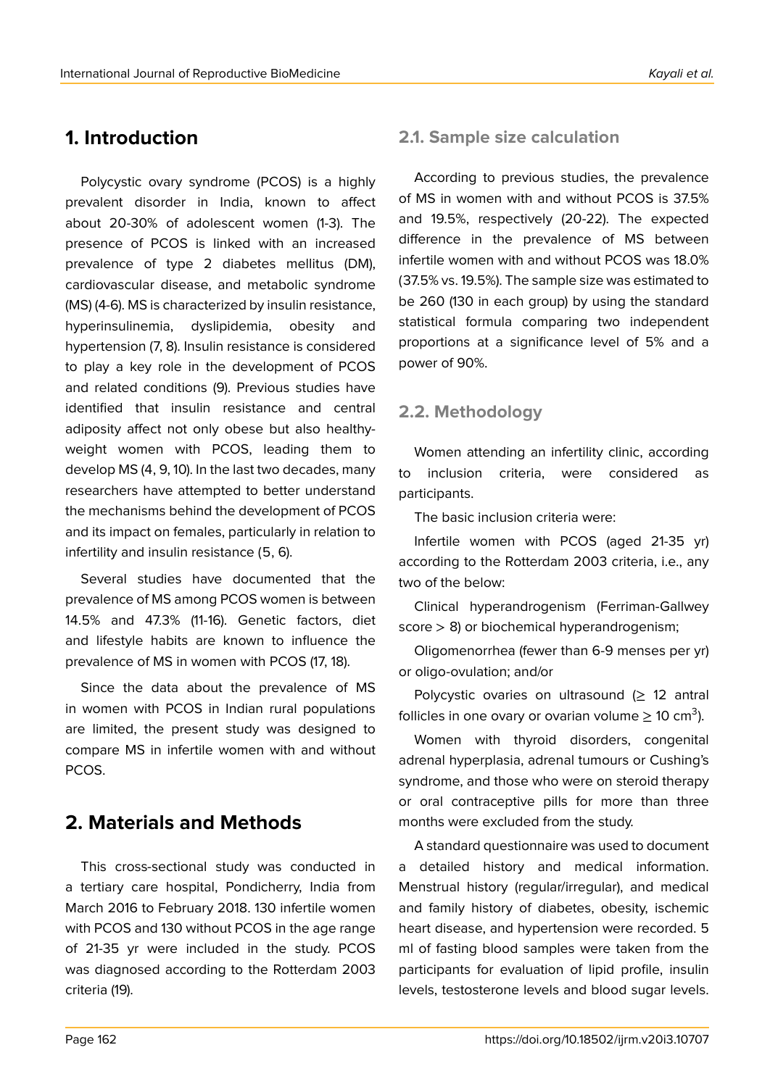# **1. Introduction**

Polycystic ovary syndrome (PCOS) is a highly prevalent disorder in India, known to affect about 20-30% of adolescent women (1-3). The presence of PCOS is linked with an increased prevalence of type 2 diabetes mellitus (DM), cardiovascular disease, and metabolic syndrome (MS) (4-6). MS is characterized by insulin resistance, hyperinsulinemia, dyslipidemia, obesity and hypertension (7, 8). Insulin resistance is considered to play a key role in the development of PCOS and related conditions (9). Previous studies have identified that insulin resistance and central adiposity affect not only obese but also healthyweight women with PCOS, leading them to develop MS (4, 9, 10). In the last two decades, many researchers have attempted to better understand the mechanisms behind the development of PCOS and its impact on females, particularly in relation to infertility and insulin resistance (5, 6).

Several studies have documented that the prevalence of MS among PCOS women is between 14.5% and 47.3% (11-16). Genetic factors, diet and lifestyle habits are known to influence the prevalence of MS in women with PCOS (17, 18).

Since the data about the prevalence of MS in women with PCOS in Indian rural populations are limited, the present study was designed to compare MS in infertile women with and without PCOS.

# **2. Materials and Methods**

This cross-sectional study was conducted in a tertiary care hospital, Pondicherry, India from March 2016 to February 2018. 130 infertile women with PCOS and 130 without PCOS in the age range of 21-35 yr were included in the study. PCOS was diagnosed according to the Rotterdam 2003 criteria (19).

# **2.1. Sample size calculation**

According to previous studies, the prevalence of MS in women with and without PCOS is 37.5% and 19.5%, respectively (20-22). The expected difference in the prevalence of MS between infertile women with and without PCOS was 18.0% (37.5% vs. 19.5%). The sample size was estimated to be 260 (130 in each group) by using the standard statistical formula comparing two independent proportions at a significance level of 5% and a power of 90%.

## **2.2. Methodology**

Women attending an infertility clinic, according to inclusion criteria, were considered as participants.

The basic inclusion criteria were:

Infertile women with PCOS (aged 21-35 yr) according to the Rotterdam 2003 criteria, i.e., any two of the below:

Clinical hyperandrogenism (Ferriman-Gallwey score > 8) or biochemical hyperandrogenism;

Oligomenorrhea (fewer than 6-9 menses per yr) or oligo-ovulation; and/or

Polycystic ovaries on ultrasound  $(≥ 12$  antral follicles in one ovary or ovarian volume  $\geq$  10 cm<sup>3</sup>).

Women with thyroid disorders, congenital adrenal hyperplasia, adrenal tumours or Cushing's syndrome, and those who were on steroid therapy or oral contraceptive pills for more than three months were excluded from the study.

A standard questionnaire was used to document a detailed history and medical information. Menstrual history (regular/irregular), and medical and family history of diabetes, obesity, ischemic heart disease, and hypertension were recorded. 5 ml of fasting blood samples were taken from the participants for evaluation of lipid profile, insulin levels, testosterone levels and blood sugar levels.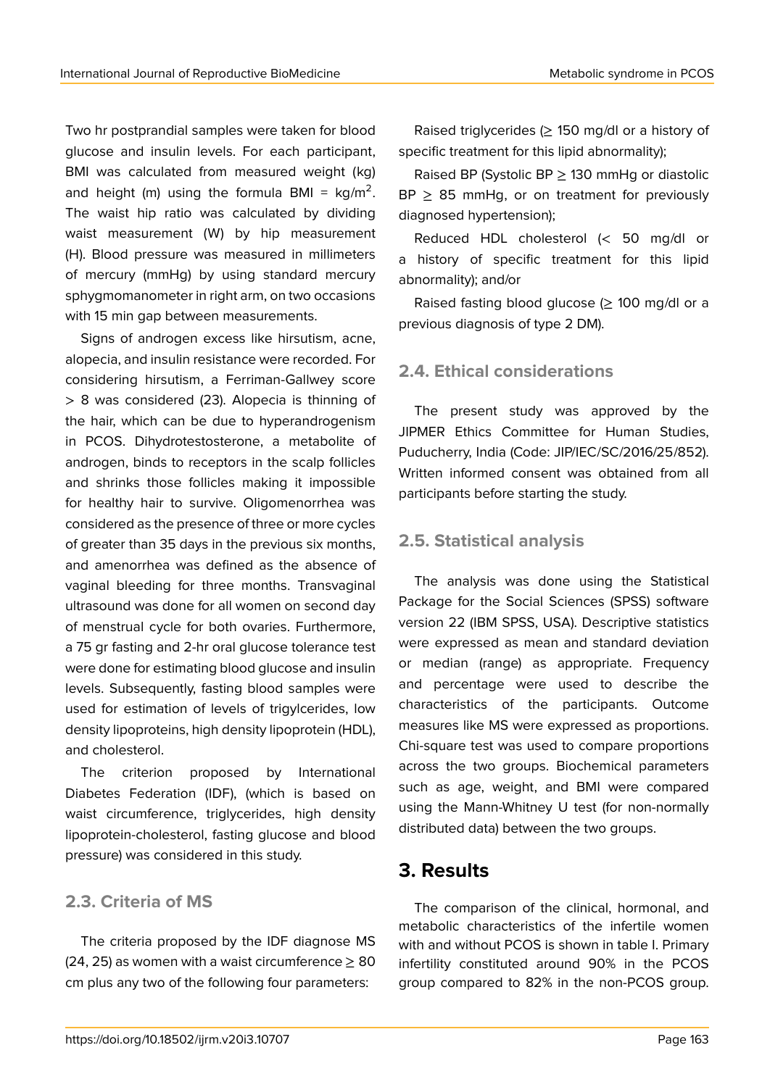Two hr postprandial samples were taken for blood glucose and insulin levels. For each participant, BMI was calculated from measured weight (kg) and height (m) using the formula BMI =  $kg/m^2$ . The waist hip ratio was calculated by dividing waist measurement (W) by hip measurement (H). Blood pressure was measured in millimeters of mercury (mmHg) by using standard mercury sphygmomanometer in right arm, on two occasions with 15 min gap between measurements.

Signs of androgen excess like hirsutism, acne, alopecia, and insulin resistance were recorded. For considering hirsutism, a Ferriman-Gallwey score > 8 was considered (23). Alopecia is thinning of the hair, which can be due to hyperandrogenism in PCOS. Dihydrotestosterone, a metabolite of androgen, binds to receptors in the scalp follicles and shrinks those follicles making it impossible for healthy hair to survive. Oligomenorrhea was considered as the presence of three or more cycles of greater than 35 days in the previous six months, and amenorrhea was defined as the absence of vaginal bleeding for three months. Transvaginal ultrasound was done for all women on second day of menstrual cycle for both ovaries. Furthermore, a 75 gr fasting and 2-hr oral glucose tolerance test were done for estimating blood glucose and insulin levels. Subsequently, fasting blood samples were used for estimation of levels of trigylcerides, low density lipoproteins, high density lipoprotein (HDL), and cholesterol.

The criterion proposed by International Diabetes Federation (IDF), (which is based on waist circumference, triglycerides, high density lipoprotein-cholesterol, fasting glucose and blood pressure) was considered in this study.

### **2.3. Criteria of MS**

The criteria proposed by the IDF diagnose MS (24, 25) as women with a waist circumference  $\geq 80$ cm plus any two of the following four parameters:

Raised triglycerides ( $\geq$  150 mg/dl or a history of specific treatment for this lipid abnormality);

Raised BP (Systolic BP  $\geq$  130 mmHg or diastolic  $BP > 85$  mmHg, or on treatment for previously diagnosed hypertension);

Reduced HDL cholesterol (< 50 mg/dl or a history of specific treatment for this lipid abnormality); and/or

Raised fasting blood glucose ( $\geq$  100 mg/dl or a previous diagnosis of type 2 DM).

### **2.4. Ethical considerations**

The present study was approved by the JIPMER Ethics Committee for Human Studies, Puducherry, India (Code: JIP/IEC/SC/2016/25/852). Written informed consent was obtained from all participants before starting the study.

### **2.5. Statistical analysis**

The analysis was done using the Statistical Package for the Social Sciences (SPSS) software version 22 (IBM SPSS, USA). Descriptive statistics were expressed as mean and standard deviation or median (range) as appropriate. Frequency and percentage were used to describe the characteristics of the participants. Outcome measures like MS were expressed as proportions. Chi-square test was used to compare proportions across the two groups. Biochemical parameters such as age, weight, and BMI were compared using the Mann-Whitney U test (for non-normally distributed data) between the two groups.

## **3. Results**

The comparison of the clinical, hormonal, and metabolic characteristics of the infertile women with and without PCOS is shown in table I. Primary infertility constituted around 90% in the PCOS group compared to 82% in the non-PCOS group.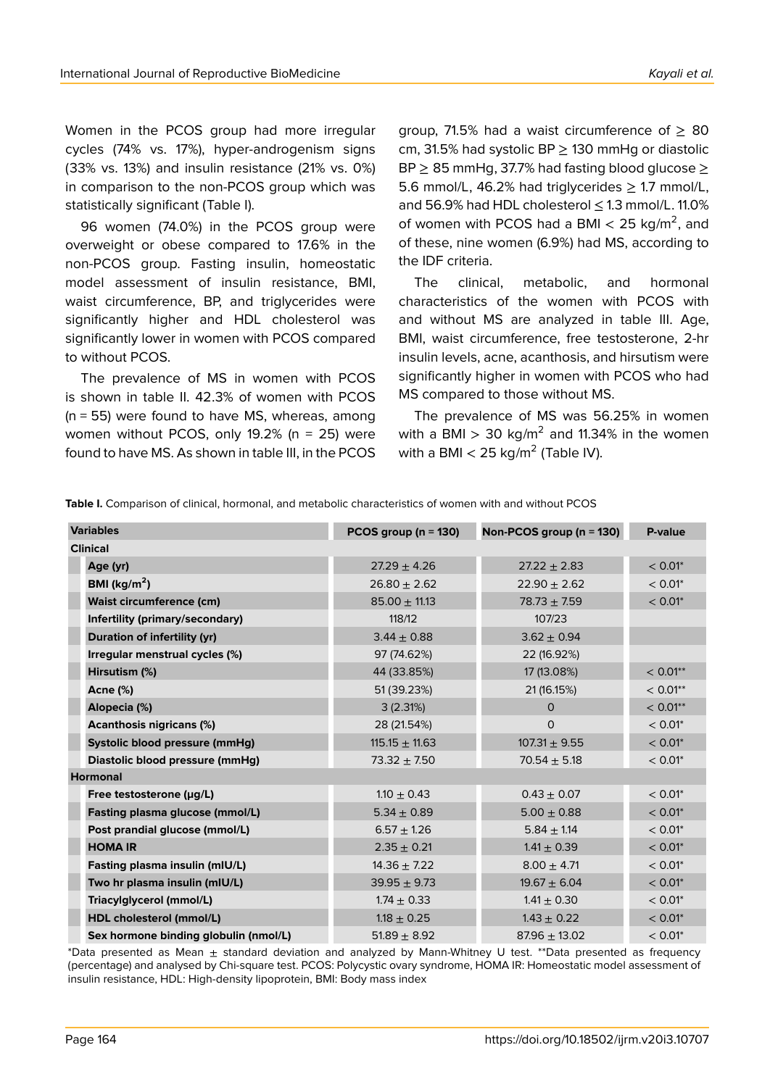Women in the PCOS group had more irregular cycles (74% vs. 17%), hyper-androgenism signs (33% vs. 13%) and insulin resistance (21% vs. 0%) in comparison to the non-PCOS group which was statistically significant (Table I).

96 women (74.0%) in the PCOS group were overweight or obese compared to 17.6% in the non-PCOS group. Fasting insulin, homeostatic model assessment of insulin resistance, BMI, waist circumference, BP, and triglycerides were significantly higher and HDL cholesterol was significantly lower in women with PCOS compared to without PCOS.

The prevalence of MS in women with PCOS is shown in table II. 42.3% of women with PCOS  $(n = 55)$  were found to have MS, whereas, among women without PCOS, only 19.2% (n = 25) were found to have MS. As shown in table III, in the PCOS group, 71.5% had a waist circumference of  $\geq$  80 cm, 31.5% had systolic  $BP > 130$  mmHg or diastolic BP  $\geq$  85 mmHg, 37.7% had fasting blood glucose  $\geq$ 5.6 mmol/L, 46.2% had triglycerides  $\geq$  1.7 mmol/L, and 56.9% had HDL cholesterol ≤ 1.3 mmol/L. 11.0% of women with PCOS had a BMI  $<$  25 kg/m<sup>2</sup>, and of these, nine women (6.9%) had MS, according to the IDF criteria.

The clinical, metabolic, and hormonal characteristics of the women with PCOS with and without MS are analyzed in table III. Age, BMI, waist circumference, free testosterone, 2-hr insulin levels, acne, acanthosis, and hirsutism were significantly higher in women with PCOS who had MS compared to those without MS.

The prevalence of MS was 56.25% in women with a BMI  $> 30$  kg/m<sup>2</sup> and 11.34% in the women with a BMI  $<$  25 kg/m<sup>2</sup> (Table IV).

| <b>Variables</b>                      | PCOS group ( $n = 130$ ) | Non-PCOS group (n = 130) | P-value    |
|---------------------------------------|--------------------------|--------------------------|------------|
| <b>Clinical</b>                       |                          |                          |            |
| Age (yr)                              | $27.29 \pm 4.26$         | $27.22 \pm 2.83$         | $< 0.01$ * |
| BMI ( $\text{kg/m}^2$ )               | $26.80 \pm 2.62$         | $22.90 \pm 2.62$         | $< 0.01$ * |
| <b>Waist circumference (cm)</b>       | $85.00 \pm 11.13$        | $78.73 \pm 7.59$         | $< 0.01$ * |
| Infertility (primary/secondary)       | 118/12                   | 107/23                   |            |
| Duration of infertility (yr)          | $3.44 \pm 0.88$          | $3.62 \pm 0.94$          |            |
| Irregular menstrual cycles (%)        | 97 (74.62%)              | 22 (16.92%)              |            |
| Hirsutism (%)                         | 44 (33.85%)              | 17 (13.08%)              | $< 0.01**$ |
| <b>Acne (%)</b>                       | 51 (39.23%)              | 21 (16.15%)              | $< 0.01**$ |
| Alopecia (%)                          | 3(2.31%)                 | $\mathbf{O}$             | $< 0.01**$ |
| <b>Acanthosis nigricans (%)</b>       | 28 (21.54%)              | $\circ$                  | $< 0.01$ * |
| Systolic blood pressure (mmHg)        | $115.15 \pm 11.63$       | $107.31 \pm 9.55$        | $< 0.01$ * |
| Diastolic blood pressure (mmHg)       | $73.32 \pm 7.50$         | $70.54 \pm 5.18$         | $< 0.01$ * |
| <b>Hormonal</b>                       |                          |                          |            |
| Free testosterone $(\mu g/L)$         | $1.10 \pm 0.43$          | $0.43 \pm 0.07$          | $< 0.01$ * |
| Fasting plasma glucose (mmol/L)       | $5.34 \pm 0.89$          | $5.00 \pm 0.88$          | $< 0.01$ * |
| Post prandial glucose (mmol/L)        | $6.57 \pm 1.26$          | $5.84 \pm 1.14$          | $< 0.01$ * |
| <b>HOMA IR</b>                        | $2.35 \pm 0.21$          | $1.41 \pm 0.39$          | $< 0.01$ * |
| Fasting plasma insulin (mIU/L)        | $14.36 \pm 7.22$         | $8.00 \pm 4.71$          | $< 0.01$ * |
| Two hr plasma insulin (mIU/L)         | $39.95 \pm 9.73$         | $19.67 \pm 6.04$         | $< 0.01$ * |
| Triacylglycerol (mmol/L)              | $1.74 \pm 0.33$          | $1.41 \pm 0.30$          | $< 0.01$ * |
| HDL cholesterol (mmol/L)              | $1.18 \pm 0.25$          | $1.43 \pm 0.22$          | $< 0.01$ * |
| Sex hormone binding globulin (nmol/L) | $51.89 \pm 8.92$         | $87.96 \pm 13.02$        | $< 0.01$ * |

**Table I.** Comparison of clinical, hormonal, and metabolic characteristics of women with and without PCOS

\*Data presented as Mean ± standard deviation and analyzed by Mann-Whitney U test. \*\*Data presented as frequency (percentage) and analysed by Chi-square test. PCOS: Polycystic ovary syndrome, HOMA IR: Homeostatic model assessment of insulin resistance, HDL: High-density lipoprotein, BMI: Body mass index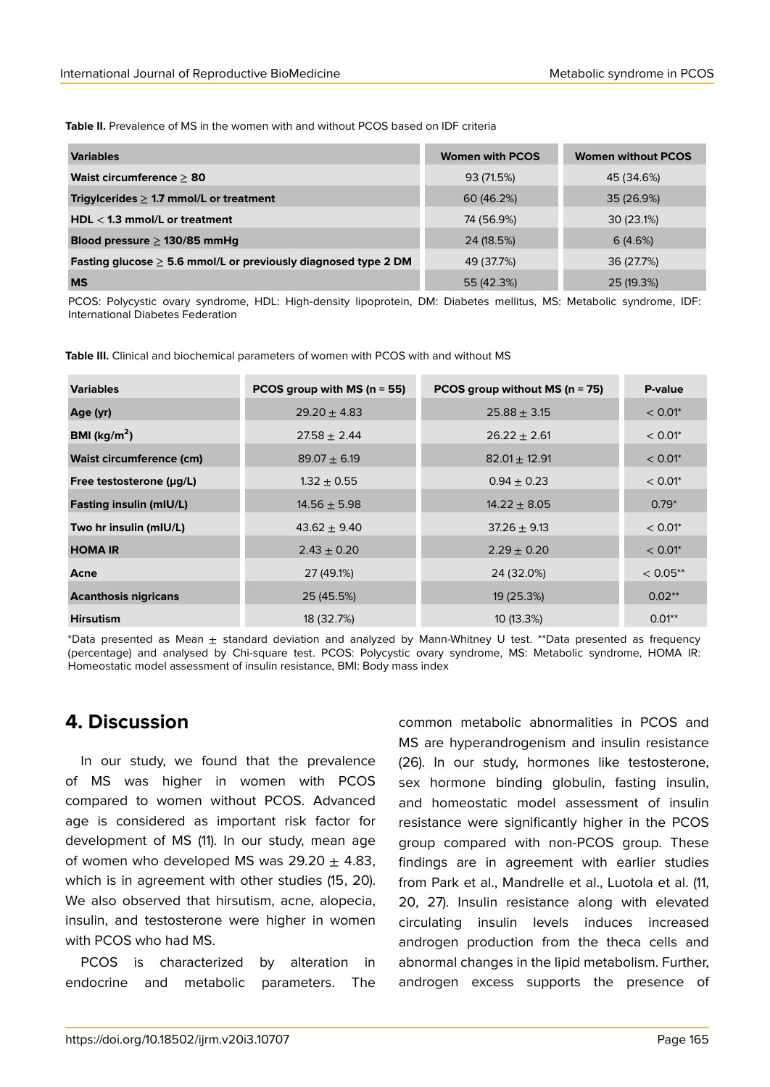**Table II.** Prevalence of MS in the women with and without PCOS based on IDF criteria

| <b>Variables</b>                                                    | <b>Women with PCOS</b> | <b>Women without PCOS</b> |
|---------------------------------------------------------------------|------------------------|---------------------------|
| Waist circumference $\geq 80$                                       | 93 (71.5%)             | 45 (34.6%)                |
| Trigylcerides $\geq$ 1.7 mmol/L or treatment                        | 60 (46.2%)             | 35 (26.9%)                |
| HDL $<$ 1.3 mmol/L or treatment                                     | 74 (56.9%)             | 30 (23.1%)                |
| Blood pressure $\geq$ 130/85 mmHg                                   | 24 (18.5%)             | 6(4.6%)                   |
| Fasting glucose $\geq$ 5.6 mmol/L or previously diagnosed type 2 DM | 49 (37.7%)             | 36 (27.7%)                |
| <b>MS</b>                                                           | 55 (42.3%)             | 25 (19.3%)                |

PCOS: Polycystic ovary syndrome, HDL: High-density lipoprotein, DM: Diabetes mellitus, MS: Metabolic syndrome, IDF: International Diabetes Federation

**Table III.** Clinical and biochemical parameters of women with PCOS with and without MS

| <b>Variables</b>                | PCOS group with MS ( $n = 55$ ) | PCOS group without MS ( $n = 75$ ) | P-value    |
|---------------------------------|---------------------------------|------------------------------------|------------|
| Age (yr)                        | $29.20 \pm 4.83$                | $25.88 \pm 3.15$                   | $< 0.01$ * |
| BMI ( $\text{kg/m}^2$ )         | $27.58 \pm 2.44$                | $26.22 \pm 2.61$                   | $< 0.01$ * |
| <b>Waist circumference (cm)</b> | $89.07 \pm 6.19$                | $82.01 \pm 12.91$                  | $< 0.01$ * |
| Free testosterone $(\mu g/L)$   | $1.32 \pm 0.55$                 | $0.94 \pm 0.23$                    | $< 0.01$ * |
| <b>Fasting insulin (mIU/L)</b>  | $14.56 \pm 5.98$                | $14.22 \pm 8.05$                   | $0.79*$    |
| Two hr insulin (mIU/L)          | $43.62 \pm 9.40$                | $37.26 \pm 9.13$                   | $< 0.01$ * |
| <b>HOMA IR</b>                  | $2.43 \pm 0.20$                 | $2.29 \pm 0.20$                    | $< 0.01$ * |
| Acne                            | 27 (49.1%)                      | 24 (32.0%)                         | $< 0.05**$ |
| <b>Acanthosis nigricans</b>     | 25 (45.5%)                      | 19 (25.3%)                         | $0.02**$   |
| <b>Hirsutism</b>                | 18 (32.7%)                      | 10(13.3%)                          | $0.01**$   |

\*Data presented as Mean ± standard deviation and analyzed by Mann-Whitney U test. \*\*Data presented as frequency (percentage) and analysed by Chi-square test. PCOS: Polycystic ovary syndrome, MS: Metabolic syndrome, HOMA IR: Homeostatic model assessment of insulin resistance, BMI: Body mass index

# **4. Discussion**

In our study, we found that the prevalence of MS was higher in women with PCOS compared to women without PCOS. Advanced age is considered as important risk factor for development of MS (11). In our study, mean age of women who developed MS was  $29.20 \pm 4.83$ , which is in agreement with other studies (15, 20). We also observed that hirsutism, acne, alopecia, insulin, and testosterone were higher in women with PCOS who had MS.

PCOS is characterized by alteration in endocrine and metabolic parameters. The common metabolic abnormalities in PCOS and MS are hyperandrogenism and insulin resistance (26). In our study, hormones like testosterone, sex hormone binding globulin, fasting insulin, and homeostatic model assessment of insulin resistance were significantly higher in the PCOS group compared with non-PCOS group. These findings are in agreement with earlier studies from Park et al., Mandrelle et al., Luotola et al. (11, 20, 27). Insulin resistance along with elevated circulating insulin levels induces increased androgen production from the theca cells and abnormal changes in the lipid metabolism. Further, androgen excess supports the presence of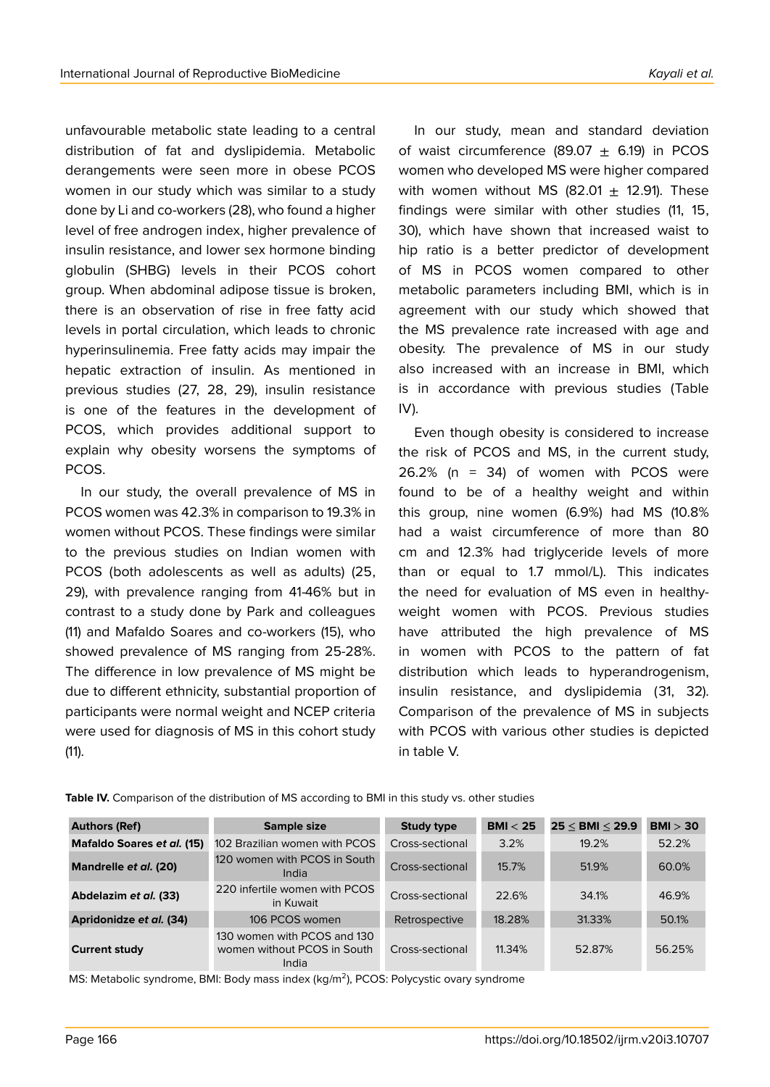unfavourable metabolic state leading to a central distribution of fat and dyslipidemia. Metabolic derangements were seen more in obese PCOS women in our study which was similar to a study done by Li and co-workers (28), who found a higher level of free androgen index, higher prevalence of insulin resistance, and lower sex hormone binding globulin (SHBG) levels in their PCOS cohort group. When abdominal adipose tissue is broken, there is an observation of rise in free fatty acid levels in portal circulation, which leads to chronic hyperinsulinemia. Free fatty acids may impair the hepatic extraction of insulin. As mentioned in previous studies (27, 28, 29), insulin resistance is one of the features in the development of PCOS, which provides additional support to explain why obesity worsens the symptoms of PCOS.

In our study, the overall prevalence of MS in PCOS women was 42.3% in comparison to 19.3% in women without PCOS. These findings were similar to the previous studies on Indian women with PCOS (both adolescents as well as adults) (25, 29), with prevalence ranging from 41-46% but in contrast to a study done by Park and colleagues (11) and Mafaldo Soares and co-workers (15), who showed prevalence of MS ranging from 25-28%. The difference in low prevalence of MS might be due to different ethnicity, substantial proportion of participants were normal weight and NCEP criteria were used for diagnosis of MS in this cohort study (11).

In our study, mean and standard deviation of waist circumference (89.07  $\pm$  6.19) in PCOS women who developed MS were higher compared with women without MS (82.01  $\pm$  12.91). These findings were similar with other studies (11, 15, 30), which have shown that increased waist to hip ratio is a better predictor of development of MS in PCOS women compared to other metabolic parameters including BMI, which is in agreement with our study which showed that the MS prevalence rate increased with age and obesity. The prevalence of MS in our study also increased with an increase in BMI, which is in accordance with previous studies (Table IV).

Even though obesity is considered to increase the risk of PCOS and MS, in the current study, 26.2% (n = 34) of women with PCOS were found to be of a healthy weight and within this group, nine women (6.9%) had MS (10.8% had a waist circumference of more than 80 cm and 12.3% had triglyceride levels of more than or equal to 1.7 mmol/L). This indicates the need for evaluation of MS even in healthyweight women with PCOS. Previous studies have attributed the high prevalence of MS in women with PCOS to the pattern of fat distribution which leads to hyperandrogenism, insulin resistance, and dyslipidemia (31, 32). Comparison of the prevalence of MS in subjects with PCOS with various other studies is depicted in table V.

| <b>Authors (Ref)</b>       | Sample size                                                         | <b>Study type</b> | BMI < 25 | $25 <$ BMI $<$ 29.9 | BMI > 30 |
|----------------------------|---------------------------------------------------------------------|-------------------|----------|---------------------|----------|
| Mafaldo Soares et al. (15) | 102 Brazilian women with PCOS                                       | Cross-sectional   | 3.2%     | 19.2%               | 52.2%    |
| Mandrelle et al. (20)      | 120 women with PCOS in South<br>India                               | Cross-sectional   | 15.7%    | 51.9%               | 60.0%    |
| Abdelazim et al. (33)      | 220 infertile women with PCOS<br>in Kuwait                          | Cross-sectional   | 22.6%    | 34.1%               | 46.9%    |
| Apridonidze et al. (34)    | 106 PCOS women                                                      | Retrospective     | 18.28%   | 31.33%              | 50.1%    |
| <b>Current study</b>       | 130 women with PCOS and 130<br>women without PCOS in South<br>India | Cross-sectional   | 11.34%   | 52.87%              | 56.25%   |

**Table IV.** Comparison of the distribution of MS according to BMI in this study vs. other studies

MS: Metabolic syndrome, BMI: Body mass index (kg/m<sup>2</sup>), PCOS: Polycystic ovary syndrome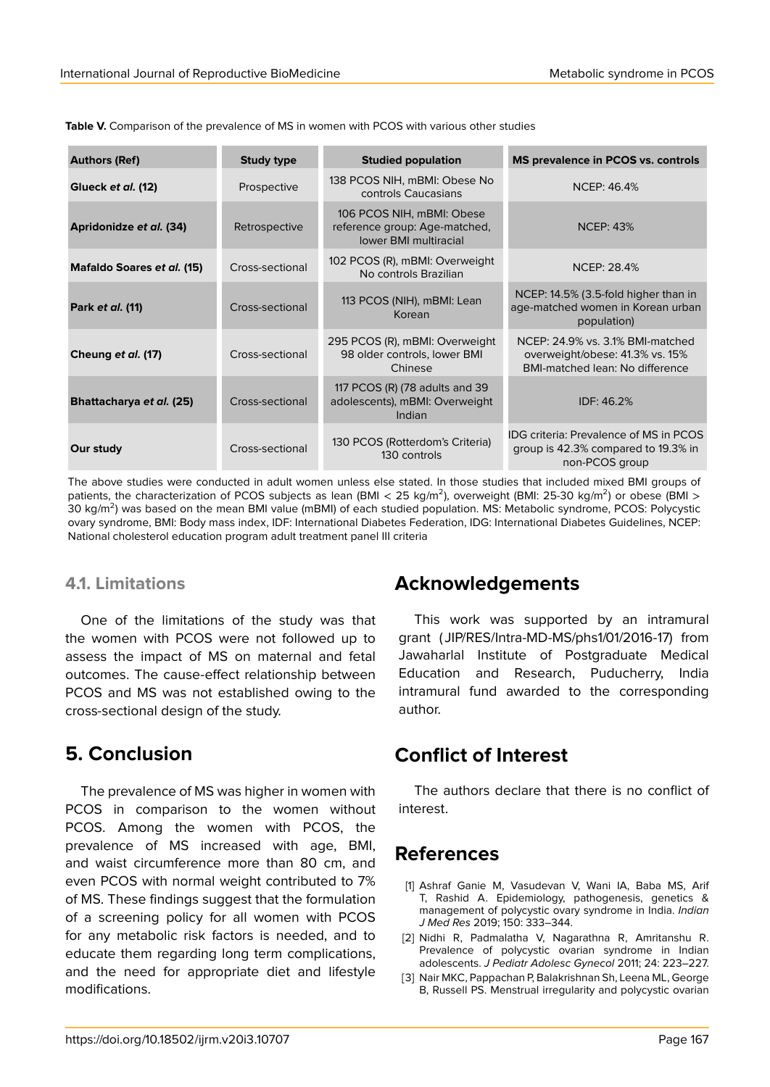| <b>Authors (Ref)</b>       | <b>Study type</b> | <b>Studied population</b>                                                                  | <b>MS prevalence in PCOS vs. controls</b>                                                                     |
|----------------------------|-------------------|--------------------------------------------------------------------------------------------|---------------------------------------------------------------------------------------------------------------|
| Glueck et al. (12)         | Prospective       | 138 PCOS NIH, mBMI: Obese No<br>controls Caucasians                                        | NCEP: 46.4%                                                                                                   |
| Apridonidze et al. (34)    | Retrospective     | 106 PCOS NIH, mBMI: Obese<br>reference group: Age-matched,<br><b>lower BMI multiracial</b> | <b>NCEP: 43%</b>                                                                                              |
| Mafaldo Soares et al. (15) | Cross-sectional   | 102 PCOS (R), mBMI: Overweight<br>No controls Brazilian                                    | <b>NCEP: 28.4%</b>                                                                                            |
| Park et al. (11)           | Cross-sectional   | 113 PCOS (NIH), mBMI: Lean<br>Korean                                                       | NCEP: 14.5% (3.5-fold higher than in<br>age-matched women in Korean urban<br>population)                      |
| Cheung et al. (17)         | Cross-sectional   | 295 PCOS (R), mBMI: Overweight<br>98 older controls, lower BMI<br>Chinese                  | NCEP: 24.9% vs. 3.1% BMI-matched<br>overweight/obese: 41.3% vs. 15%<br><b>BMI-matched lean: No difference</b> |
| Bhattacharya et al. (25)   | Cross-sectional   | 117 PCOS (R) (78 adults and 39<br>adolescents), mBMI: Overweight<br>Indian                 | IDF: 46.2%                                                                                                    |
| Our study                  | Cross-sectional   | 130 PCOS (Rotterdom's Criteria)<br>130 controls                                            | <b>IDG</b> criteria: Prevalence of MS in PCOS<br>group is 42.3% compared to 19.3% in<br>non-PCOS group        |

**Table V.** Comparison of the prevalence of MS in women with PCOS with various other studies

The above studies were conducted in adult women unless else stated. In those studies that included mixed BMI groups of patients, the characterization of PCOS subjects as lean (BMI < 25 kg/m<sup>2</sup>), overweight (BMI: 25-30 kg/m<sup>2</sup>) or obese (BMI > 30 kg/m<sup>2</sup>) was based on the mean BMI value (mBMI) of each studied population. MS: Metabolic syndrome, PCOS: Polycystic ovary syndrome, BMI: Body mass index, IDF: International Diabetes Federation, IDG: International Diabetes Guidelines, NCEP: National cholesterol education program adult treatment panel III criteria

#### **4.1. Limitations**

One of the limitations of the study was that the women with PCOS were not followed up to assess the impact of MS on maternal and fetal outcomes. The cause-effect relationship between PCOS and MS was not established owing to the cross-sectional design of the study.

# **5. Conclusion**

The prevalence of MS was higher in women with PCOS in comparison to the women without PCOS. Among the women with PCOS, the prevalence of MS increased with age, BMI, and waist circumference more than 80 cm, and even PCOS with normal weight contributed to 7% of MS. These findings suggest that the formulation of a screening policy for all women with PCOS for any metabolic risk factors is needed, and to educate them regarding long term complications, and the need for appropriate diet and lifestyle modifications.

# **Acknowledgements**

This work was supported by an intramural grant ( JIP/RES/Intra-MD-MS/phs1/01/2016-17) from Jawaharlal Institute of Postgraduate Medical Education and Research, Puducherry, India intramural fund awarded to the corresponding author.

# **Conflict of Interest**

The authors declare that there is no conflict of interest.

# **References**

- [1] Ashraf Ganie M, Vasudevan V, Wani IA, Baba MS, Arif T, Rashid A. Epidemiology, pathogenesis, genetics & management of polycystic ovary syndrome in India. *Indian J Med Res* 2019; 150: 333–344.
- [2] Nidhi R, Padmalatha V, Nagarathna R, Amritanshu R. Prevalence of polycystic ovarian syndrome in Indian adolescents. *J Pediatr Adolesc Gynecol* 2011; 24: 223–227.
- [3] Nair MKC, Pappachan P, Balakrishnan Sh, Leena ML, George B, Russell PS. Menstrual irregularity and polycystic ovarian